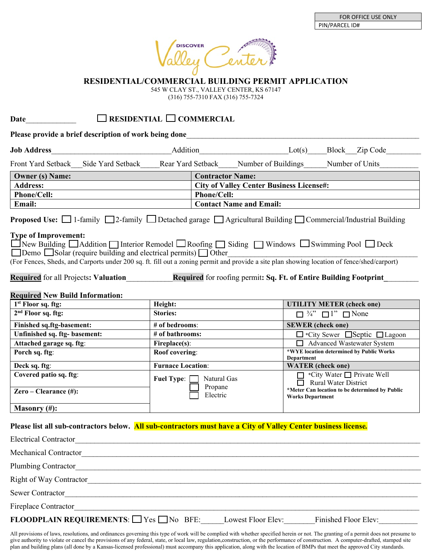

**RESIDENTIAL/COMMERCIAL BUILDING PERMIT APPLICATION**

545 W CLAY ST., VALLEY CENTER, KS 67147

(316) 755-7310 FAX (316) 755-7324

## **Date**\_\_\_\_\_\_\_\_\_\_\_\_\_ **RESIDENTIAL COMMERCIAL**

**Please provide a brief description of work being done**\_\_\_\_\_\_\_\_\_\_\_\_\_\_\_\_\_\_\_\_\_\_\_\_\_\_\_\_\_\_\_\_\_\_\_\_\_\_\_\_\_\_\_\_\_\_\_\_\_\_\_\_\_\_\_\_\_\_\_\_

| <b>Job Address</b>                                                                                                                                                                                                                                                                                                                                                                                                                                     |                                                 | Addition Lot(s) Block Zip Code |                                                                                                |                                                                           |                              |  |  |
|--------------------------------------------------------------------------------------------------------------------------------------------------------------------------------------------------------------------------------------------------------------------------------------------------------------------------------------------------------------------------------------------------------------------------------------------------------|-------------------------------------------------|--------------------------------|------------------------------------------------------------------------------------------------|---------------------------------------------------------------------------|------------------------------|--|--|
| Front Yard Setback Side Yard Setback Rear Yard Setback Number of Buildings Number of Units                                                                                                                                                                                                                                                                                                                                                             |                                                 |                                |                                                                                                |                                                                           |                              |  |  |
| <b>Contractor Name:</b><br><b>Owner (s) Name:</b>                                                                                                                                                                                                                                                                                                                                                                                                      |                                                 |                                |                                                                                                |                                                                           |                              |  |  |
| <b>Address:</b>                                                                                                                                                                                                                                                                                                                                                                                                                                        | <b>City of Valley Center Business License#:</b> |                                |                                                                                                |                                                                           |                              |  |  |
| <b>Phone/Cell:</b>                                                                                                                                                                                                                                                                                                                                                                                                                                     | Phone/Cell:                                     |                                |                                                                                                |                                                                           |                              |  |  |
| Email:                                                                                                                                                                                                                                                                                                                                                                                                                                                 | <b>Contact Name and Email:</b>                  |                                |                                                                                                |                                                                           |                              |  |  |
| <b>Proposed Use:</b> $\Box$ 1-family $\Box$ 2-family $\Box$ Detached garage $\Box$ Agricultural Building $\Box$ Commercial/Industrial Building                                                                                                                                                                                                                                                                                                         |                                                 |                                |                                                                                                |                                                                           |                              |  |  |
| ■ New Building ■ Addition ■ Interior Remodel ■ Roofing ■ Siding ■ Windows ■ Swimming Pool ■ Deck<br>$\Box$ Demo $\Box$ Solar (require building and electrical permits) $\Box$ Other<br>(For Fences, Sheds, and Carports under 200 sq. ft. fill out a zoning permit and provide a site plan showing location of fence/shed/carport)<br>Required for roofing permit: Sq. Ft. of Entire Building Footprint<br><b>Required for all Projects: Valuation</b> |                                                 |                                |                                                                                                |                                                                           |                              |  |  |
| <b>Required New Build Information:</b><br>1 <sup>st</sup> Floor sq. ftg:                                                                                                                                                                                                                                                                                                                                                                               | Height:                                         |                                |                                                                                                |                                                                           |                              |  |  |
| 2 <sup>nd</sup> Floor sq. ftg:                                                                                                                                                                                                                                                                                                                                                                                                                         | <b>Stories:</b>                                 |                                | <b>UTILITY METER (check one)</b><br>$\Box$ <sup>3</sup> / <sub>4</sub> " $\Box$ 1" $\Box$ None |                                                                           |                              |  |  |
| <b>Finished sq.ftg-basement:</b>                                                                                                                                                                                                                                                                                                                                                                                                                       | # of bedrooms:                                  |                                | <b>SEWER</b> (check one)                                                                       |                                                                           |                              |  |  |
| Unfinished sq. ftg- basement:                                                                                                                                                                                                                                                                                                                                                                                                                          | # of bathrooms:                                 |                                | $\Box$ *City Sewer $\Box$ Septic $\Box$ Lagoon                                                 |                                                                           |                              |  |  |
| Attached garage sq. ftg:                                                                                                                                                                                                                                                                                                                                                                                                                               | Fireplace(s):                                   |                                |                                                                                                | Advanced Wastewater System                                                |                              |  |  |
| Porch sq. ftg:                                                                                                                                                                                                                                                                                                                                                                                                                                         | Roof covering:                                  |                                | *WYE location determined by Public Works<br><b>Department</b>                                  |                                                                           |                              |  |  |
| Deck sq. ftg:                                                                                                                                                                                                                                                                                                                                                                                                                                          | <b>Furnace Location:</b>                        |                                |                                                                                                | <b>WATER</b> (check one)                                                  |                              |  |  |
| Covered patio sq. ftg:                                                                                                                                                                                                                                                                                                                                                                                                                                 | Fuel Type: Natural Gas<br>Propane<br>Electric   |                                |                                                                                                | Rural Water District                                                      | □ *City Water □ Private Well |  |  |
| Zero – Clearance $(\#)$ :                                                                                                                                                                                                                                                                                                                                                                                                                              |                                                 |                                |                                                                                                | *Meter Can location to be determined by Public<br><b>Works Department</b> |                              |  |  |
| Masonry $(\#)$ :                                                                                                                                                                                                                                                                                                                                                                                                                                       |                                                 |                                |                                                                                                |                                                                           |                              |  |  |
| Please list all sub-contractors below. All sub-contractors must have a City of Valley Center business license.                                                                                                                                                                                                                                                                                                                                         |                                                 |                                |                                                                                                |                                                                           |                              |  |  |

| <b>Electrical Contractor</b>                                                                            |
|---------------------------------------------------------------------------------------------------------|
| <b>Mechanical Contractor</b>                                                                            |
| Plumbing Contractor                                                                                     |
| Right of Way Contractor                                                                                 |
| <b>Sewer Contractor</b>                                                                                 |
| <b>Fireplace Contractor</b>                                                                             |
| <b>FLOODPLAIN REQUIREMENTS:</b> $\Box$ Yes $\Box$ No BFE:<br>Finished Floor Elev:<br>Lowest Floor Elev: |

All provisions of laws, resolutions, and ordinances governing this type of work will be complied with whether specified herein or not. The granting of a permit does not presume to give authority to violate or cancel the provisions of any federal, state, or local law, regulation,construction, or the performance of construction. A computer-drafted, stamped site plan and building plans (all done by a Kansas-licensed professional) must accompany this application, along with the location of BMPs that meet the approved City standards.